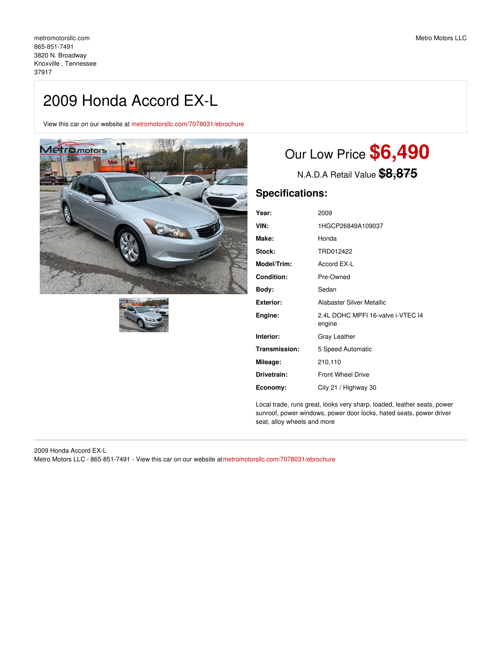## 2009 Honda Accord EX-L

View this car on our website at [metromotorsllc.com/7078031/ebrochure](https://metromotorsllc.com/vehicle/7078031/2009-honda-accord-ex-l-knoxville-tennessee-37917/7078031/ebrochure)





# Our Low Price **\$6,490**

N.A.D.A Retail Value **\$8,875**

## **Specifications:**

| Year:              | 2009                                        |  |  |  |
|--------------------|---------------------------------------------|--|--|--|
| VIN:               | 1HGCP26849A109037                           |  |  |  |
| Make:              | Honda                                       |  |  |  |
| Stock:             | TRD012422                                   |  |  |  |
| <b>Model/Trim:</b> | Accord EX-L                                 |  |  |  |
| <b>Condition:</b>  | Pre-Owned                                   |  |  |  |
| Body:              | Sedan                                       |  |  |  |
| <b>Exterior:</b>   | Alabaster Silver Metallic                   |  |  |  |
| Engine:            | 2.4L DOHC MPFI 16-valve i-VTEC 14<br>engine |  |  |  |
| Interior:          | Gray Leather                                |  |  |  |
| Transmission:      | 5 Speed Automatic                           |  |  |  |
| Mileage:           | 210,110                                     |  |  |  |
| Drivetrain:        | <b>Front Wheel Drive</b>                    |  |  |  |
| Economy:           | City 21 / Highway 30                        |  |  |  |

Local trade, runs great, looks very sharp, loaded, leather seats, power sunroof, power windows, power door locks, hated seats, power driver seat, alloy wheels and more

2009 Honda Accord EX-L Metro Motors LLC - 865-851-7491 - View this car on our website at[metromotorsllc.com/7078031/ebrochure](https://metromotorsllc.com/vehicle/7078031/2009-honda-accord-ex-l-knoxville-tennessee-37917/7078031/ebrochure)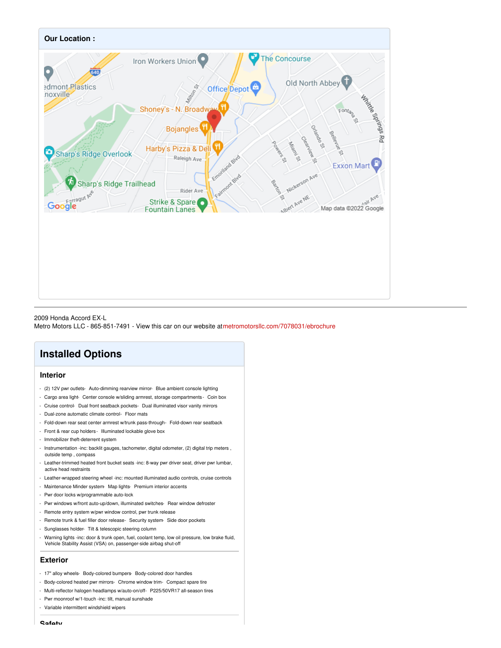

2009 Honda Accord EX-L Metro Motors LLC - 865-851-7491 - View this car on our website at[metromotorsllc.com/7078031/ebrochure](https://metromotorsllc.com/vehicle/7078031/2009-honda-accord-ex-l-knoxville-tennessee-37917/7078031/ebrochure)

## **Installed Options**

#### **Interior**

- (2) 12V pwr outlets- Auto-dimming rearview mirror- Blue ambient console lighting
- Cargo area light- Center console w/sliding armrest, storage compartments Coin box
- Cruise control- Dual front seatback pockets- Dual illuminated visor vanity mirrors
- Dual-zone automatic climate control- Floor mats
- Fold-down rear seat center armrest w/trunk pass-through- Fold-down rear seatback
- Front & rear cup holders Illuminated lockable glove box
- Immobilizer theft-deterrent system
- Instrumentation -inc: backlit gauges, tachometer, digital odometer, (2) digital trip meters, outside temp , compass
- Leather-trimmed heated front bucket seats -inc: 8-way pwr driver seat, driver pwr lumbar, active head restraints
- Leather-wrapped steering wheel -inc: mounted illuminated audio controls, cruise controls
- Maintenance Minder system- Map lights- Premium interior accents
- Pwr door locks w/programmable auto-lock
- Pwr windows w/front auto-up/down, illuminated switches- Rear window defroster
- Remote entry system w/pwr window control, pwr trunk release
- Remote trunk & fuel filler door release- Security system- Side door pockets
- Sunglasses holder- Tilt & telescopic steering column
- Warning lights -inc: door & trunk open, fuel, coolant temp, low oil pressure, low brake fluid, Vehicle Stability Assist (VSA) on, passenger-side airbag shut-off

#### **Exterior**

- 17" alloy wheels- Body-colored bumpers- Body-colored door handles
- Body-colored heated pwr mirrors- Chrome window trim- Compact spare tire
- Multi-reflector halogen headlamps w/auto-on/off- P225/50VR17 all-season tires
- Pwr moonroof w/1-touch -inc: tilt, manual sunshade
- Variable intermittent windshield wipers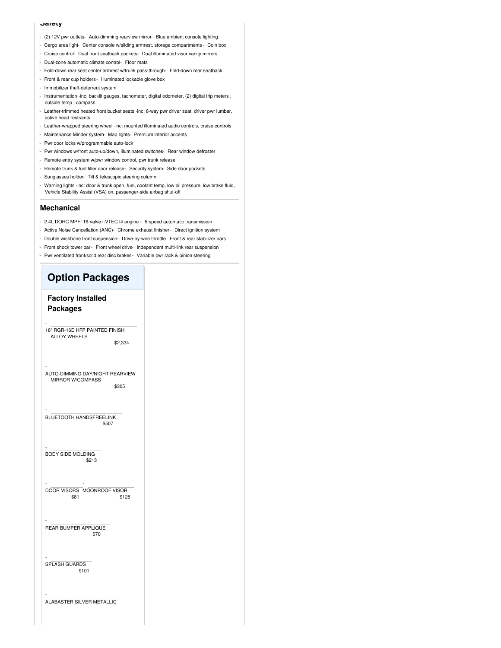#### **Safety**

- (2) 12V pwr outlets- Auto-dimming rearview mirror- Blue ambient console lighting
- Cargo area light- Center console w/sliding armrest, storage compartments Coin box
- Cruise control- Dual front seatback pockets- Dual illuminated visor vanity mirrors
- Dual-zone automatic climate control- Floor mats
- Fold-down rear seat center armrest w/trunk pass-through- Fold-down rear seatback
- Front & rear cup holders Illuminated lockable glove box
- Immobilizer theft-deterrent system
- Instrumentation -inc: backlit gauges, tachometer, digital odometer, (2) digital trip meters, outside temp , compass
- Leather-trimmed heated front bucket seats -inc: 8-way pwr driver seat, driver pwr lumbar, active head restraints
- Leather-wrapped steering wheel -inc: mounted illuminated audio controls, cruise controls
- Maintenance Minder system- Map lights- Premium interior accents
- Pwr door locks w/programmable auto-lock
- Pwr windows w/front auto-up/down, illuminated switches- Rear window defroster
- Remote entry system w/pwr window control, pwr trunk release
- Remote trunk & fuel filler door release- Security system- Side door pockets
- Sunglasses holder- Tilt & telescopic steering column
- Warning lights -inc: door & trunk open, fuel, coolant temp, low oil pressure, low brake fluid, Vehicle Stability Assist (VSA) on, passenger-side airbag shut-off

#### **Mechanical**

- 2.4L DOHC MPFI 16-valve i-VTEC I4 engine 5-speed automatic transmission
- Active Noise Cancellation (ANC)- Chrome exhaust finisher- Direct ignition system
- Double wishbone front suspension- Drive-by-wire throttle- Front & rear stabilizer bars
- Front shock tower bar- Front wheel drive- Independent multi-link rear suspension
- Pwr ventilated front/solid rear disc brakes- Variable pwr rack & pinion steering

### **Option Packages Factory Installed Packages** \$2,334 - 18" RGR-16D HFP PAINTED FINISH ALLOY WHEELS \$305 - AUTO-DIMMING DAY/NIGHT REARVIEW MIRROR W/COMPASS \$507 - BLUETOOTH HANDSFREELINK \$213 - BODY SIDE MOLDING \$81 - DOOR VISORS \$128 - MOONROOF VISOR \$70 - REAR BUMPER APPLIQUE \$101 - SPLASH GUARDS - ALABASTER SILVER METALLIC